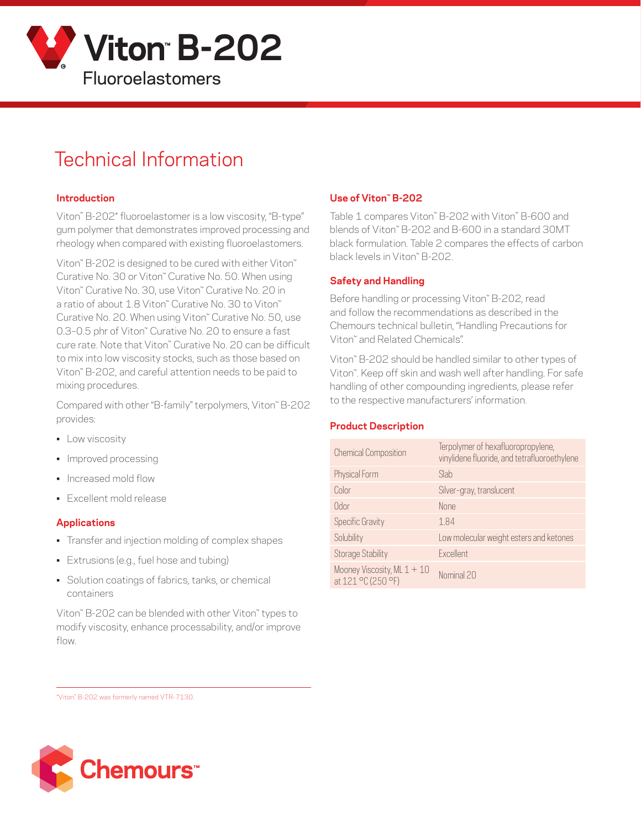

# Technical Information

## **Introduction**

Viton™ B-202\* fluoroelastomer is a low viscosity, "B-type" gum polymer that demonstrates improved processing and rheology when compared with existing fluoroelastomers.

Viton™ B-202 is designed to be cured with either Viton™ Curative No. 30 or Viton™ Curative No. 50. When using Viton™ Curative No. 30, use Viton™ Curative No. 20 in a ratio of about 1.8 Viton™ Curative No. 30 to Viton™ Curative No. 20. When using Viton™ Curative No. 50, use 0.3–0.5 phr of Viton™ Curative No. 20 to ensure a fast cure rate. Note that Viton™ Curative No. 20 can be difficult to mix into low viscosity stocks, such as those based on Viton™ B-202, and careful attention needs to be paid to mixing procedures.

Compared with other "B-family" terpolymers, Viton™ B-202 provides:

- **•** Low viscosity
- Improved processing
- Increased mold flow
- Excellent mold release

### **Applications**

- Transfer and injection molding of complex shapes
- Extrusions (e.g., fuel hose and tubing)
- Solution coatings of fabrics, tanks, or chemical containers

Viton™ B-202 can be blended with other Viton™ types to modify viscosity, enhance processability, and/or improve flow.

# **Use of Viton™ B-202**

Table 1 compares Viton™ B-202 with Viton™ B-600 and blends of Viton™ B-202 and B-600 in a standard 30MT black formulation. Table 2 compares the effects of carbon black levels in Viton™ B-202.

## **Safety and Handling**

Before handling or processing Viton™ B-202, read and follow the recommendations as described in the Chemours technical bulletin, "Handling Precautions for Viton™ and Related Chemicals".

Viton™ B-202 should be handled similar to other types of Viton™. Keep off skin and wash well after handling. For safe handling of other compounding ingredients, please refer to the respective manufacturers' information.

### **Product Description**

| <b>Chemical Composition</b>                         | Terpolymer of hexafluoropropylene,<br>vinylidene fluoride, and tetrafluoroethylene |
|-----------------------------------------------------|------------------------------------------------------------------------------------|
| Physical Form                                       | Slab                                                                               |
| Color                                               | Silver-gray, translucent                                                           |
| Odor                                                | <b>None</b>                                                                        |
| <b>Specific Gravity</b>                             | 1.84                                                                               |
| Solubility                                          | Low molecular weight esters and ketones                                            |
| <b>Storage Stability</b>                            | <b>Fxcellent</b>                                                                   |
| Mooney Viscosity, ML $1 + 10$<br>at 121 °C (250 °F) | Nominal 20                                                                         |

\*Viton™ B-202 was formerly named VTR-7130.

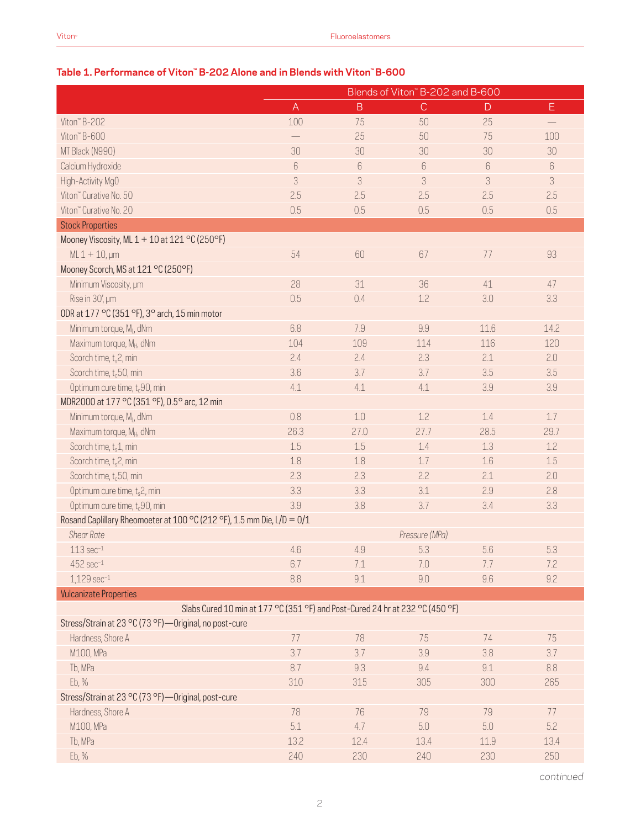|                                                                               |              |                | Blends of Viton" B-202 and B-600 |      |      |
|-------------------------------------------------------------------------------|--------------|----------------|----------------------------------|------|------|
|                                                                               | $\mathsf{A}$ | $\overline{B}$ | $\mathsf{C}$                     | D    | Ε    |
| Viton" B-202                                                                  | 100          | 75             | 50                               | 25   |      |
| Viton" B-600                                                                  |              | 25             | 50                               | 75   | 100  |
| MT Black (N990)                                                               | 30           | 30             | 30                               | 30   | 30   |
| Calcium Hydroxide                                                             | $6\,$        | 6              | $6\,$                            | 6    | 6    |
| High-Activity MgO                                                             | 3            | 3              | 3                                | 3    | 3    |
| Viton" Curative No. 50                                                        | 2.5          | 2.5            | 2.5                              | 2.5  | 2.5  |
| Viton" Curative No. 20                                                        | 0.5          | 0.5            | 0.5                              | 0.5  | 0.5  |
| <b>Stock Properties</b>                                                       |              |                |                                  |      |      |
| Mooney Viscosity, ML 1 + 10 at 121 °C (250°F)                                 |              |                |                                  |      |      |
| $ML 1 + 10, \mu m$                                                            | 54           | 60             | 67                               | 77   | 93   |
| Mooney Scorch, MS at 121 °C (250°F)                                           |              |                |                                  |      |      |
| Minimum Viscosity, um                                                         | 28           | 31             | 36                               | 41   | 47   |
| Rise in 30', µm                                                               | 0.5          | 0.4            | 1.2                              | 3.0  | 3.3  |
| ODR at 177 °C (351 °F), 3° arch, 15 min motor                                 |              |                |                                  |      |      |
| Minimum torque, M <sub>L</sub> , dNm                                          | 6.8          | 7.9            | 9.9                              | 11.6 | 14.2 |
| Maximum torque, MH, dNm                                                       | 104          | 109            | 114                              | 116  | 120  |
| Scorch time, t <sub>s</sub> 2, min                                            | 2.4          | 2.4            | 2.3                              | 2.1  | 2.0  |
| Scorch time, t <sub>c</sub> 50, min                                           | 3.6          | 3.7            | 3.7                              | 3.5  | 3.5  |
| Optimum cure time, t <sub>c</sub> 90, min                                     | 4.1          | 4.1            | 4.1                              | 3.9  | 3.9  |
| MDR2000 at 177 °C (351 °F), 0.5° arc, 12 min                                  |              |                |                                  |      |      |
| Minimum torque, M <sub>I</sub> , dNm                                          | 0.8          | 1.0            | 1.2                              | 1.4  | 1.7  |
| Maximum torque, M <sub>H</sub> , dNm                                          | 26.3         | 27.0           | 27.7                             | 28.5 | 29.7 |
| Scorch time, t <sub>s</sub> 1, min                                            | 1.5          | 1.5            | 1.4                              | 1.3  | 1.2  |
| Scorch time, t <sub>s</sub> 2, min                                            | 1.8          | 1.8            | 1.7                              | 1.6  | 1.5  |
| Scorch time, t <sub>c</sub> 50, min                                           | 2.3          | 2.3            | 2.2                              | 2.1  | 2.0  |
| Optimum cure time, t <sub>s</sub> 2, min                                      | 3.3          | 3.3            | 3.1                              | 2.9  | 2.8  |
| Optimum cure time, t <sub>c</sub> 90, min                                     | 3.9          | 3.8            | 3.7                              | 3.4  | 3.3  |
| Rosand Caplillary Rheomoeter at 100 °C (212 °F), 1.5 mm Die, L/D = 0/1        |              |                |                                  |      |      |
| <b>Shear Rate</b>                                                             |              |                | Pressure (MPa)                   |      |      |
| $113 \text{ sec}^{-1}$                                                        | 4.6          | 4.9            | 5.3                              | 5.6  | 5.3  |
| $452$ sec $^{-1}$                                                             | 6.7          | 7.1            | 7.0                              | 7.7  | 7.2  |
| $1,129$ sec $-1$                                                              | 8.8          | 9.1            | 9.0                              | 9.6  | 9.2  |
| <b>Vulcanizate Properties</b>                                                 |              |                |                                  |      |      |
| Slabs Cured 10 min at 177 °C (351 °F) and Post-Cured 24 hr at 232 °C (450 °F) |              |                |                                  |      |      |
| Stress/Strain at 23 °C (73 °F)-Original, no post-cure                         |              |                |                                  |      |      |
| Hardness, Shore A                                                             | 77           | 78             | 75                               | 74   | 75   |
| M100, MPa                                                                     | 3.7          | 3.7            | 3.9                              | 3.8  | 3.7  |
| Tb, MPa                                                                       | 8.7          | 9.3            | 9.4                              | 9.1  | 8.8  |
| Eb, %                                                                         | 310          | 315            | 305                              | 300  | 265  |
| Stress/Strain at 23 °C (73 °F) - Original, post-cure                          |              |                |                                  |      |      |
| Hardness, Shore A                                                             | 78           | 76             | 79                               | 79   | 77   |
| M100, MPa                                                                     | 5.1          | 4.7            | 5.0                              | 5.0  | 5.2  |
| Tb, MPa                                                                       | 13.2         | 12.4           | 13.4                             | 11.9 | 13.4 |
| Eb, %                                                                         | 240          | 230            | 240                              | 230  | 250  |

# **Table 1. Performance of Viton™ B-202 Alone and in Blends with Viton™ B-600**

*continued*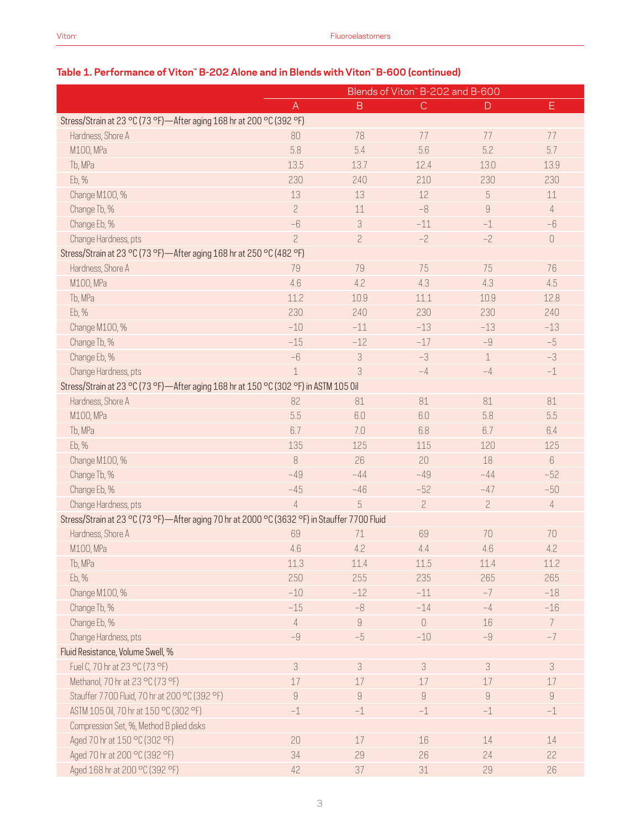|                                                                                              | $\sigma$ Alone and in Dienus with viton $\sigma$ -000 (continued)<br>Blends of Viton" B-202 and B-600 |                |                |                |                           |
|----------------------------------------------------------------------------------------------|-------------------------------------------------------------------------------------------------------|----------------|----------------|----------------|---------------------------|
|                                                                                              | A                                                                                                     | $\mathsf B$    | $\mathsf{C}$   | $\Box$         | Ε.                        |
| Stress/Strain at 23 °C (73 °F)-After aging 168 hr at 200 °C (392 °F)                         |                                                                                                       |                |                |                |                           |
| Hardness, Shore A                                                                            | 80                                                                                                    | 78             | 77             | 77             | 77                        |
| M100, MPa                                                                                    | 5.8                                                                                                   | 5.4            | 5.6            | 5.2            | 5.7                       |
|                                                                                              |                                                                                                       |                |                |                |                           |
| Tb, MPa                                                                                      | 13.5                                                                                                  | 13.7           | 12.4           | 13.0           | 13.9                      |
| Eb, %                                                                                        | 230                                                                                                   | 240            | 210            | 230            | 230                       |
| Change M100, %                                                                               | 13                                                                                                    | 13             | 12             | 5              | 11                        |
| Change Tb, %                                                                                 | $\overline{c}$                                                                                        | 11             | $-8$           | $\overline{9}$ | $\overline{4}$            |
| Change Eb, %                                                                                 | $-6$                                                                                                  | 3              | $-11$          | $-1$           | $-6$                      |
| Change Hardness, pts                                                                         | $\overline{c}$                                                                                        | $\overline{c}$ | $-2$           | $-2$           | $\hbox{O}$                |
| Stress/Strain at 23 °C (73 °F)-After aging 168 hr at 250 °C (482 °F)                         |                                                                                                       |                |                |                |                           |
| Hardness, Shore A                                                                            | 79                                                                                                    | 79             | 75             | 75             | 76                        |
| M100, MPa                                                                                    | 4.6                                                                                                   | 4.2            | 4.3            | 4.3            | 4.5                       |
| Tb, MPa                                                                                      | 11.2                                                                                                  | 10.9           | 11.1           | 10.9           | 12.8                      |
| Eb, %                                                                                        | 230                                                                                                   | 240            | 230            | 230            | 240                       |
| Change M100, %                                                                               | $-10$                                                                                                 | $-11$          | $-13$          | $-13$          | $-13$                     |
| Change Tb, %                                                                                 | $-15$                                                                                                 | $-12$          | $-17$          | $-9$           | $-5$                      |
| Change Eb, %                                                                                 | $-6$                                                                                                  | 3              | $-3$           | $\mathbf 1$    | $-3$                      |
| Change Hardness, pts                                                                         | $\mathbf 1$                                                                                           | 3              | $-4$           | $-4$           | $^{\rm -1}$               |
| Stress/Strain at 23 °C (73 °F)-After aging 168 hr at 150 °C (302 °F) in ASTM 105 0il         |                                                                                                       |                |                |                |                           |
| Hardness, Shore A                                                                            | 82                                                                                                    | 81             | 81             | 81             | 81                        |
| M100, MPa                                                                                    | 5.5                                                                                                   | 6.0            | 6.0            | 5.8            | 5.5                       |
| Tb, MPa                                                                                      | 6.7                                                                                                   | 7.0            | 6.8            | 6.7            | 6.4                       |
| Eb, %                                                                                        | 135                                                                                                   | 125            | 115            | 120            | 125                       |
| Change M100, %                                                                               | 8                                                                                                     | 26             | 20             | 18             | 6                         |
| Change Tb, %                                                                                 | $-49$                                                                                                 | $-44$          | $-49$          | $-44$          | $-52$                     |
| Change Eb, %                                                                                 | $-45$                                                                                                 | $-46$          | $-52$          | $-47$          | $-50$                     |
| Change Hardness, pts                                                                         | $\overline{4}$                                                                                        | 5              | $\overline{c}$ | $\overline{c}$ | $\sqrt{4}$                |
| Stress/Strain at 23 °C (73 °F)-After aging 70 hr at 2000 °C (3632 °F) in Stauffer 7700 Fluid |                                                                                                       |                |                |                |                           |
| Hardness, Shore A                                                                            | 69                                                                                                    | 71             | 69             | 70             | 70                        |
| M100, MPa                                                                                    | 4.6                                                                                                   | 4.2            | 4.4            | 4.6            | 4.2                       |
| Tb, MPa                                                                                      | 11.3                                                                                                  | 11.4           | 11.5           | 11.4           | 11.2                      |
| Eb, %                                                                                        | 250                                                                                                   | 255            | 235            | 265            | 265                       |
| Change M100, %                                                                               | $-10$                                                                                                 | $-12$          | $-11$          | $-7$           | $-18$                     |
| Change Tb, %                                                                                 | $-15$                                                                                                 | $-8$           | $-14$          | $-4$           | $-16$                     |
| Change Eb, %                                                                                 | $\overline{4}$                                                                                        | $\,9$          | $\bigcirc$     | 16             | $7\phantom{.}$            |
| Change Hardness, pts                                                                         | $-9$                                                                                                  | $-5$           | $-10$          | $-9$           | $-7$                      |
| Fluid Resistance, Volume Swell, %                                                            |                                                                                                       |                |                |                |                           |
|                                                                                              |                                                                                                       | 3              |                |                |                           |
| Fuel C, 70 hr at 23 °C (73 °F)                                                               | $\sqrt{3}$                                                                                            |                | 3              | $\sqrt{3}$     | $\ensuremath{\mathsf{3}}$ |
| Methanol, 70 hr at 23 °C (73 °F)                                                             | $17$                                                                                                  | 17             | $17\,$         | 17             | 17                        |
| Stauffer 7700 Fluid, 70 hr at 200 °C (392 °F)                                                | $\hbox{g}$                                                                                            | $\overline{9}$ | $\hbox{9}$     | $\,9$          | $\overline{9}$            |
| ASTM 105 0il, 70 hr at 150 °C (302 °F)                                                       | $-1$                                                                                                  | $-1$           | $-1$           | $-1$           | $-1$                      |
| Compression Set, %, Method B plied disks                                                     |                                                                                                       |                |                |                |                           |
| Aged 70 hr at 150 °C (302 °F)                                                                | 20                                                                                                    | 17             | 16             | 14             | 14                        |
| Aged 70 hr at 200 °C (392 °F)                                                                | 34                                                                                                    | 29             | 26             | 24             | 22                        |
| Aged 168 hr at 200 °C (392 °F)                                                               | 42                                                                                                    | 37             | 31             | 29             | 26                        |

# **Table 1. Performance of Viton™ B-202 Alone and in Blends with Viton™ B-600 (continued)**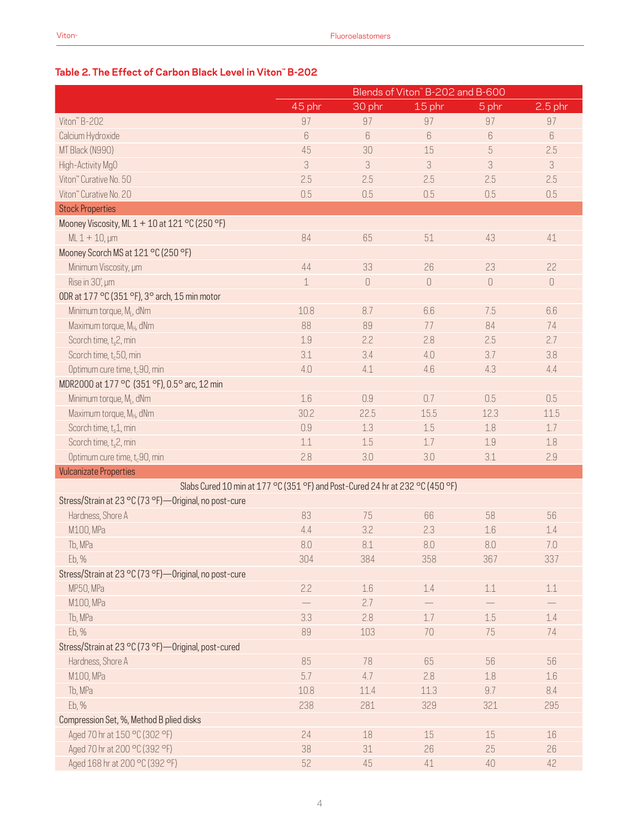# **Table 2. The Effect of Carbon Black Level in Viton™ B-202**

|                                                                               | Blends of Viton" B-202 and B-600 |                                      |         |          |           |
|-------------------------------------------------------------------------------|----------------------------------|--------------------------------------|---------|----------|-----------|
|                                                                               | 45 phr                           | 30 phr                               | 15 phr  | 5 phr    | $2.5$ phr |
| Viton" B-202                                                                  | 97                               | 97                                   | 97      | 97       | 97        |
| Calcium Hydroxide                                                             | 6                                | 6                                    | 6       | $6\,$    | $6\,$     |
| MT Black (N990)                                                               | 45                               | 30                                   | 15      | 5        | 2.5       |
| High-Activity MgO                                                             | 3                                | 3                                    | 3       | 3        | 3         |
| Viton" Curative No. 50                                                        | 2.5                              | 2.5                                  | 2.5     | 2.5      | 2.5       |
| Viton" Curative No. 20                                                        | 0.5                              | 0.5                                  | 0.5     | 0.5      | 0.5       |
| <b>Stock Properties</b>                                                       |                                  |                                      |         |          |           |
| Mooney Viscosity, ML 1 + 10 at 121 °C (250 °F)                                |                                  |                                      |         |          |           |
| $ML 1 + 10, \mu m$                                                            | 84                               | 65                                   | 51      | 43       | 41        |
| Mooney Scorch MS at 121 °C (250 °F)                                           |                                  |                                      |         |          |           |
| Minimum Viscosity, um                                                         | 44                               | 33                                   | 26      | 23       | 22        |
| Rise in 30', µm                                                               | $\mathbf 1$                      | $\begin{matrix} 0 \\ 0 \end{matrix}$ | 0       | $\theta$ | 0         |
| ODR at 177 °C (351 °F), 3° arch, 15 min motor                                 |                                  |                                      |         |          |           |
| Minimum torque, M <sub>1</sub> , dNm                                          | 10.8                             | 8.7                                  | 6.6     | 7.5      | 6.6       |
| Maximum torque, M <sub>H</sub> , dNm                                          | 88                               | 89                                   | 77      | 84       | 74        |
| Scorch time, t <sub>s</sub> 2, min                                            | 1.9                              | 2.2                                  | 2.8     | 2.5      | 2.7       |
| Scorch time, t <sub>c</sub> 50, min                                           | 3.1                              | 3.4                                  | 4.0     | 3.7      | 3.8       |
| Optimum cure time, t <sub>c</sub> 90, min                                     | 4.0                              | 4.1                                  | 4.6     | 4.3      | 4.4       |
| MDR2000 at 177 °C (351 °F), 0.5° arc, 12 min                                  |                                  |                                      |         |          |           |
| Minimum torque, M <sub>i</sub> , dNm                                          | 1.6                              | 0.9                                  | 0.7     | 0.5      | 0.5       |
| Maximum torque, M <sub>H</sub> , dNm                                          | 30.2                             | 22.5                                 | 15.5    | 12.3     | 11.5      |
| Scorch time, $t_s$ 1, min                                                     | 0.9                              | 1.3                                  | 1.5     | 1.8      | 1.7       |
| Scorch time, t <sub>s</sub> 2, min                                            | 1.1                              | 1.5                                  | 1.7     | 1.9      | 1.8       |
| Optimum cure time, t <sub>c</sub> 90, min                                     | 2.8                              | 3.0                                  | 3.0     | 3.1      | 2.9       |
| <b>Vulcanizate Properties</b>                                                 |                                  |                                      |         |          |           |
| Slabs Cured 10 min at 177 °C (351 °F) and Post-Cured 24 hr at 232 °C (450 °F) |                                  |                                      |         |          |           |
| Stress/Strain at 23 °C (73 °F)-Original, no post-cure                         |                                  |                                      |         |          |           |
| Hardness, Shore A                                                             | 83                               | 75                                   | 66      | 58       | 56        |
| M100, MPa                                                                     | 4.4                              | 3.2                                  | 2.3     | 1.6      | 1.4       |
| Tb, MPa                                                                       | 8.0                              | 8.1                                  | 8.0     | 8.0      | 7.0       |
| Eb, %                                                                         | 304                              | 384                                  | 358     | 367      | 337       |
| Stress/Strain at 23 °C (73 °F)-Original, no post-cure                         |                                  |                                      |         |          |           |
| MP50, MPa                                                                     | 2.2                              | $1.6\,$                              | 1.4     | $1.1\,$  | $1.1\,$   |
| M100, MPa                                                                     |                                  | 2.7                                  |         |          |           |
| Tb, MPa                                                                       | 3.3                              | 2.8                                  | $1.7\,$ | $1.5\,$  | $1.4\,$   |
| Eb, %                                                                         | 89                               | 103                                  | 70      | 75       | 74        |
| Stress/Strain at 23 °C (73 °F)-Original, post-cured                           |                                  |                                      |         |          |           |
| Hardness, Shore A                                                             | 85                               | 78                                   | 65      | 56       | 56        |
| M100, MPa                                                                     | 5.7                              | 4.7                                  | 2.8     | 1.8      | 1.6       |
| Tb, MPa                                                                       | 10.8                             | 11.4                                 | 11.3    | 9.7      | 8.4       |
| Eb, %                                                                         | 238                              | 281                                  | 329     | 321      | 295       |
| Compression Set, %, Method B plied disks                                      |                                  |                                      |         |          |           |
| Aged 70 hr at 150 °C (302 °F)                                                 | 24                               | 18                                   | 15      | $15\,$   | $16\,$    |
| Aged 70 hr at 200 °C (392 °F)                                                 | 38                               | 31                                   | 26      | 25       | 26        |
| Aged 168 hr at 200 °C (392 °F)                                                | 52                               | 45                                   | $41\,$  | 40       | 42        |